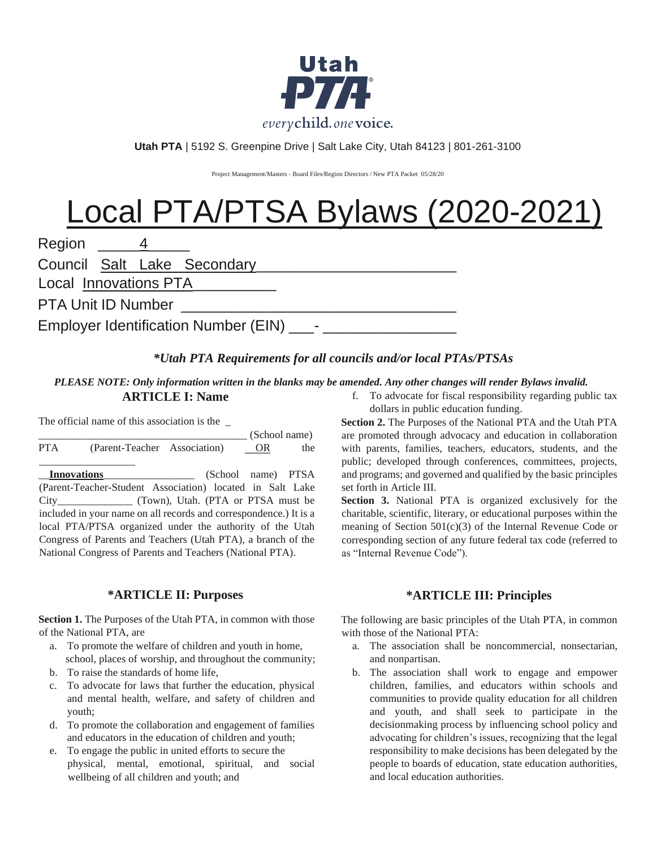

**Utah PTA** | 5192 S. Greenpine Drive | Salt Lake City, Utah 84123 | 801-261-3100

Project Management/Masters - Board Files/Region Directors / New PTA Packet 05/28/20

# Local PTA/PTSA Bylaws (2020-2021)

| Region 4                                    |  |  |                             |  |  |  |  |  |
|---------------------------------------------|--|--|-----------------------------|--|--|--|--|--|
|                                             |  |  | Council Salt Lake Secondary |  |  |  |  |  |
| Local Innovations PTA                       |  |  |                             |  |  |  |  |  |
| <b>PTA Unit ID Number</b>                   |  |  |                             |  |  |  |  |  |
| Employer Identification Number (EIN) ______ |  |  |                             |  |  |  |  |  |

## *\*Utah PTA Requirements for all councils and/or local PTAs/PTSAs*

## *PLEASE NOTE: Only information written in the blanks may be amended. Any other changes will render Bylaws invalid.*

## **ARTICLE I: Name**

The official name of this association is the \_

|            |                                                                   | (School name)      |     |  |
|------------|-------------------------------------------------------------------|--------------------|-----|--|
| <b>PTA</b> | (Parent-Teacher Association)                                      | <b>OR</b>          | the |  |
|            | <b>Innovations</b>                                                | (School name) PTSA |     |  |
|            | (Parent-Teacher-Student Association) located in Salt Lake         |                    |     |  |
|            |                                                                   |                    |     |  |
|            | included in your name on all records and correspondence.) It is a |                    |     |  |
|            | local PTA/PTSA organized under the authority of the Utah          |                    |     |  |
|            | Congress of Parents and Teachers (Utah PTA), a branch of the      |                    |     |  |
|            | National Congress of Parents and Teachers (National PTA).         |                    |     |  |

## **\*ARTICLE II: Purposes**

**Section 1.** The Purposes of the Utah PTA, in common with those of the National PTA, are

- a. To promote the welfare of children and youth in home, school, places of worship, and throughout the community;
- b. To raise the standards of home life,
- c. To advocate for laws that further the education, physical and mental health, welfare, and safety of children and youth;
- d. To promote the collaboration and engagement of families and educators in the education of children and youth;
- e. To engage the public in united efforts to secure the physical, mental, emotional, spiritual, and social wellbeing of all children and youth; and

f. To advocate for fiscal responsibility regarding public tax dollars in public education funding.

**Section 2.** The Purposes of the National PTA and the Utah PTA are promoted through advocacy and education in collaboration with parents, families, teachers, educators, students, and the public; developed through conferences, committees, projects, and programs; and governed and qualified by the basic principles set forth in Article III.

**Section 3.** National PTA is organized exclusively for the charitable, scientific, literary, or educational purposes within the meaning of Section 501(c)(3) of the Internal Revenue Code or corresponding section of any future federal tax code (referred to as "Internal Revenue Code").

# **\*ARTICLE III: Principles**

The following are basic principles of the Utah PTA, in common with those of the National PTA:

- a. The association shall be noncommercial, nonsectarian, and nonpartisan.
- b. The association shall work to engage and empower children, families, and educators within schools and communities to provide quality education for all children and youth, and shall seek to participate in the decisionmaking process by influencing school policy and advocating for children's issues, recognizing that the legal responsibility to make decisions has been delegated by the people to boards of education, state education authorities, and local education authorities.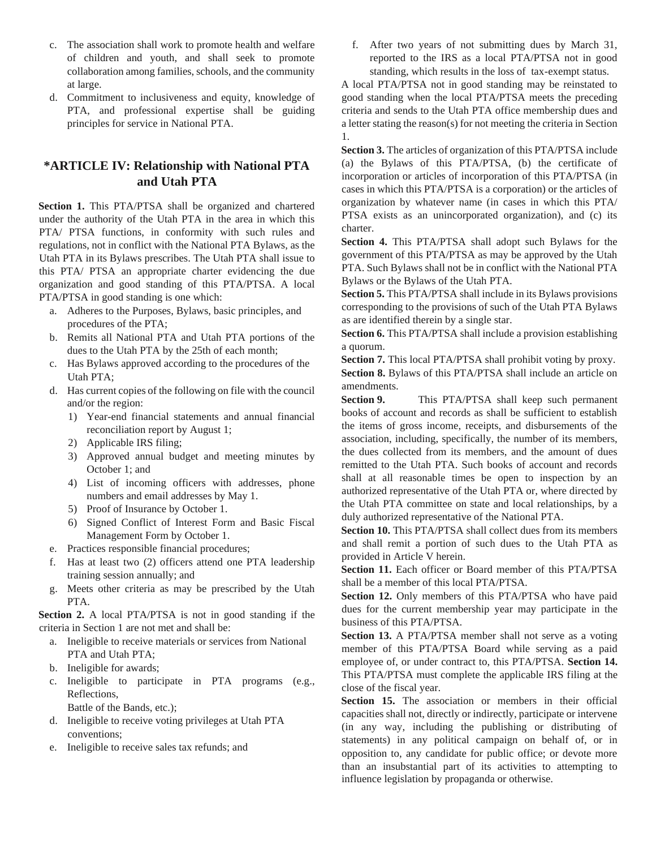- c. The association shall work to promote health and welfare of children and youth, and shall seek to promote collaboration among families, schools, and the community at large.
- d. Commitment to inclusiveness and equity, knowledge of PTA, and professional expertise shall be guiding principles for service in National PTA.

## **\*ARTICLE IV: Relationship with National PTA and Utah PTA**

**Section 1.** This PTA/PTSA shall be organized and chartered under the authority of the Utah PTA in the area in which this PTA/ PTSA functions, in conformity with such rules and regulations, not in conflict with the National PTA Bylaws, as the Utah PTA in its Bylaws prescribes. The Utah PTA shall issue to this PTA/ PTSA an appropriate charter evidencing the due organization and good standing of this PTA/PTSA. A local PTA/PTSA in good standing is one which:

- a. Adheres to the Purposes, Bylaws, basic principles, and procedures of the PTA;
- b. Remits all National PTA and Utah PTA portions of the dues to the Utah PTA by the 25th of each month;
- c. Has Bylaws approved according to the procedures of the Utah PTA;
- d. Has current copies of the following on file with the council and/or the region:
	- 1) Year-end financial statements and annual financial reconciliation report by August 1;
	- 2) Applicable IRS filing;
	- 3) Approved annual budget and meeting minutes by October 1; and
	- 4) List of incoming officers with addresses, phone numbers and email addresses by May 1.
	- 5) Proof of Insurance by October 1.
	- 6) Signed Conflict of Interest Form and Basic Fiscal Management Form by October 1.
- e. Practices responsible financial procedures;
- f. Has at least two (2) officers attend one PTA leadership training session annually; and
- g. Meets other criteria as may be prescribed by the Utah PTA.

**Section 2.** A local PTA/PTSA is not in good standing if the criteria in Section 1 are not met and shall be:

- a. Ineligible to receive materials or services from National PTA and Utah PTA;
- b. Ineligible for awards;
- c. Ineligible to participate in PTA programs (e.g., Reflections,
	- Battle of the Bands, etc.);
- d. Ineligible to receive voting privileges at Utah PTA conventions;
- e. Ineligible to receive sales tax refunds; and

f. After two years of not submitting dues by March 31, reported to the IRS as a local PTA/PTSA not in good standing, which results in the loss of tax-exempt status.

A local PTA/PTSA not in good standing may be reinstated to good standing when the local PTA/PTSA meets the preceding criteria and sends to the Utah PTA office membership dues and a letter stating the reason(s) for not meeting the criteria in Section 1.

**Section 3.** The articles of organization of this PTA/PTSA include (a) the Bylaws of this PTA/PTSA, (b) the certificate of incorporation or articles of incorporation of this PTA/PTSA (in cases in which this PTA/PTSA is a corporation) or the articles of organization by whatever name (in cases in which this PTA/ PTSA exists as an unincorporated organization), and (c) its charter.

**Section 4.** This PTA/PTSA shall adopt such Bylaws for the government of this PTA/PTSA as may be approved by the Utah PTA. Such Bylaws shall not be in conflict with the National PTA Bylaws or the Bylaws of the Utah PTA.

**Section 5.** This PTA/PTSA shall include in its Bylaws provisions corresponding to the provisions of such of the Utah PTA Bylaws as are identified therein by a single star.

**Section 6.** This PTA/PTSA shall include a provision establishing a quorum.

**Section 7.** This local PTA/PTSA shall prohibit voting by proxy. **Section 8.** Bylaws of this PTA/PTSA shall include an article on amendments.

**Section 9.** This PTA/PTSA shall keep such permanent books of account and records as shall be sufficient to establish the items of gross income, receipts, and disbursements of the association, including, specifically, the number of its members, the dues collected from its members, and the amount of dues remitted to the Utah PTA. Such books of account and records shall at all reasonable times be open to inspection by an authorized representative of the Utah PTA or, where directed by the Utah PTA committee on state and local relationships, by a duly authorized representative of the National PTA.

**Section 10.** This PTA/PTSA shall collect dues from its members and shall remit a portion of such dues to the Utah PTA as provided in Article V herein.

**Section 11.** Each officer or Board member of this PTA/PTSA shall be a member of this local PTA/PTSA.

**Section 12.** Only members of this PTA/PTSA who have paid dues for the current membership year may participate in the business of this PTA/PTSA.

**Section 13.** A PTA/PTSA member shall not serve as a voting member of this PTA/PTSA Board while serving as a paid employee of, or under contract to, this PTA/PTSA. **Section 14.** This PTA/PTSA must complete the applicable IRS filing at the close of the fiscal year.

**Section 15.** The association or members in their official capacities shall not, directly or indirectly, participate or intervene (in any way, including the publishing or distributing of statements) in any political campaign on behalf of, or in opposition to, any candidate for public office; or devote more than an insubstantial part of its activities to attempting to influence legislation by propaganda or otherwise.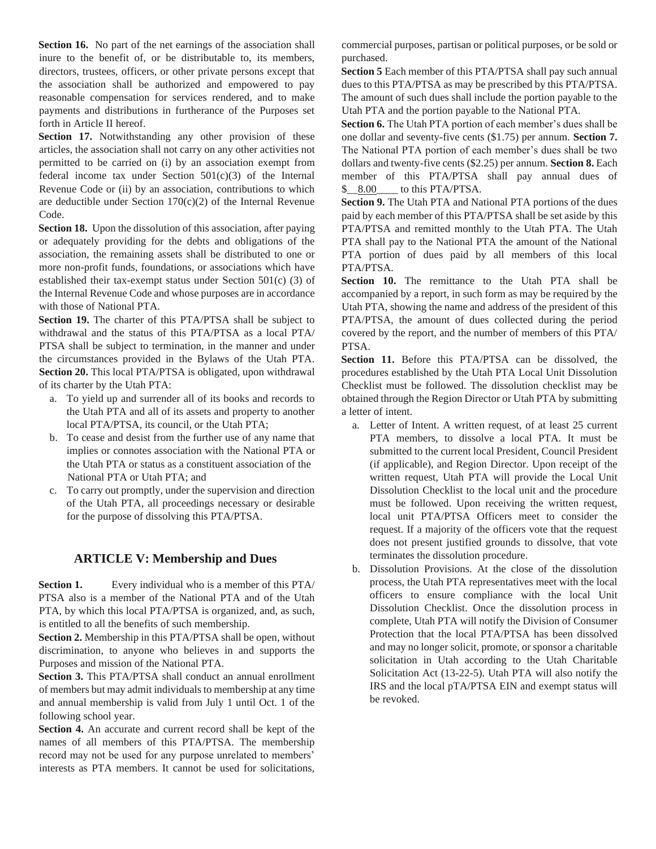**Section 16.** No part of the net earnings of the association shall inure to the benefit of, or be distributable to, its members, directors, trustees, officers, or other private persons except that the association shall be authorized and empowered to pay reasonable compensation for services rendered, and to make payments and distributions in furtherance of the Purposes set forth in Article II hereof.

Section 17. Notwithstanding any other provision of these articles, the association shall not carry on any other activities not permitted to be carried on (i) by an association exempt from federal income tax under Section  $501(c)(3)$  of the Internal Revenue Code or (ii) by an association, contributions to which are deductible under Section 170(c)(2) of the Internal Revenue Code.

**Section 18.** Upon the dissolution of this association, after paying or adequately providing for the debts and obligations of the association, the remaining assets shall be distributed to one or more non-profit funds, foundations, or associations which have established their tax-exempt status under Section 501(c) (3) of the Internal Revenue Code and whose purposes are in accordance with those of National PTA.

**Section 19.** The charter of this PTA/PTSA shall be subject to withdrawal and the status of this PTA/PTSA as a local PTA/ PTSA shall be subject to termination, in the manner and under the circumstances provided in the Bylaws of the Utah PTA. **Section 20.** This local PTA/PTSA is obligated, upon withdrawal of its charter by the Utah PTA:

- a. To yield up and surrender all of its books and records to the Utah PTA and all of its assets and property to another local PTA/PTSA, its council, or the Utah PTA;
- b. To cease and desist from the further use of any name that implies or connotes association with the National PTA or the Utah PTA or status as a constituent association of the National PTA or Utah PTA; and
- c. To carry out promptly, under the supervision and direction of the Utah PTA, all proceedings necessary or desirable for the purpose of dissolving this PTA/PTSA.

#### **ARTICLE V: Membership and Dues**

**Section 1.** Every individual who is a member of this PTA/ PTSA also is a member of the National PTA and of the Utah PTA, by which this local PTA/PTSA is organized, and, as such, is entitled to all the benefits of such membership.

**Section 2.** Membership in this PTA/PTSA shall be open, without discrimination, to anyone who believes in and supports the Purposes and mission of the National PTA.

**Section 3.** This PTA/PTSA shall conduct an annual enrollment of members but may admit individuals to membership at any time and annual membership is valid from July 1 until Oct. 1 of the following school year.

**Section 4.** An accurate and current record shall be kept of the names of all members of this PTA/PTSA. The membership record may not be used for any purpose unrelated to members' interests as PTA members. It cannot be used for solicitations,

commercial purposes, partisan or political purposes, or be sold or purchased.

**Section 5** Each member of this PTA/PTSA shall pay such annual dues to this PTA/PTSA as may be prescribed by this PTA/PTSA. The amount of such dues shall include the portion payable to the Utah PTA and the portion payable to the National PTA.

**Section 6.** The Utah PTA portion of each member's dues shall be one dollar and seventy-five cents (\$1.75) per annum. **Section 7.** The National PTA portion of each member's dues shall be two dollars and twenty-five cents (\$2.25) per annum. **Section 8.** Each member of this PTA/PTSA shall pay annual dues of \$\_\_8.00\_\_\_\_ to this PTA/PTSA.

**Section 9.** The Utah PTA and National PTA portions of the dues paid by each member of this PTA/PTSA shall be set aside by this PTA/PTSA and remitted monthly to the Utah PTA. The Utah PTA shall pay to the National PTA the amount of the National PTA portion of dues paid by all members of this local PTA/PTSA.

**Section 10.** The remittance to the Utah PTA shall be accompanied by a report, in such form as may be required by the Utah PTA, showing the name and address of the president of this PTA/PTSA, the amount of dues collected during the period covered by the report, and the number of members of this PTA/ PTSA.

**Section 11.** Before this PTA/PTSA can be dissolved, the procedures established by the Utah PTA Local Unit Dissolution Checklist must be followed. The dissolution checklist may be obtained through the Region Director or Utah PTA by submitting a letter of intent.

- a. Letter of Intent. A written request, of at least 25 current PTA members, to dissolve a local PTA. It must be submitted to the current local President, Council President (if applicable), and Region Director. Upon receipt of the written request, Utah PTA will provide the Local Unit Dissolution Checklist to the local unit and the procedure must be followed. Upon receiving the written request, local unit PTA/PTSA Officers meet to consider the request. If a majority of the officers vote that the request does not present justified grounds to dissolve, that vote terminates the dissolution procedure.
- b. Dissolution Provisions. At the close of the dissolution process, the Utah PTA representatives meet with the local officers to ensure compliance with the local Unit Dissolution Checklist. Once the dissolution process in complete, Utah PTA will notify the Division of Consumer Protection that the local PTA/PTSA has been dissolved and may no longer solicit, promote, or sponsor a charitable solicitation in Utah according to the Utah Charitable Solicitation Act (13-22-5). Utah PTA will also notify the IRS and the local pTA/PTSA EIN and exempt status will be revoked.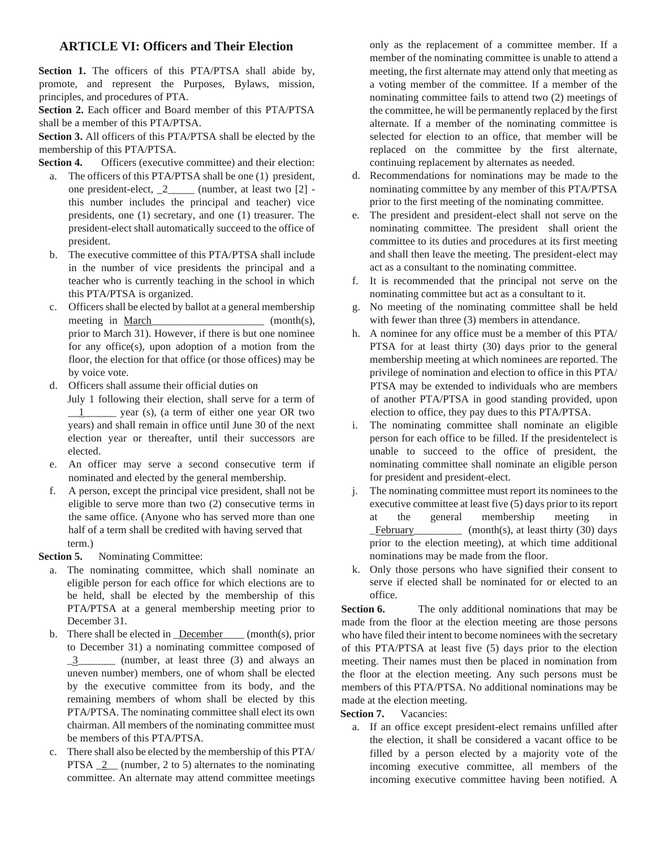## **ARTICLE VI: Officers and Their Election**

Section 1. The officers of this PTA/PTSA shall abide by, promote, and represent the Purposes, Bylaws, mission, principles, and procedures of PTA.

**Section 2.** Each officer and Board member of this PTA/PTSA shall be a member of this PTA/PTSA.

**Section 3.** All officers of this PTA/PTSA shall be elected by the membership of this PTA/PTSA.

**Section 4.** Officers (executive committee) and their election:

- a. The officers of this PTA/PTSA shall be one (1) president, one president-elect, \_2\_\_\_\_\_ (number, at least two [2] this number includes the principal and teacher) vice presidents, one (1) secretary, and one (1) treasurer. The president-elect shall automatically succeed to the office of president.
- b. The executive committee of this PTA/PTSA shall include in the number of vice presidents the principal and a teacher who is currently teaching in the school in which this PTA/PTSA is organized.
- c. Officers shall be elected by ballot at a general membership meeting in March (month(s), prior to March 31). However, if there is but one nominee for any office(s), upon adoption of a motion from the floor, the election for that office (or those offices) may be by voice vote.
- d. Officers shall assume their official duties on
	- July 1 following their election, shall serve for a term of \_\_1\_\_\_\_\_\_ year (s), (a term of either one year OR two years) and shall remain in office until June 30 of the next election year or thereafter, until their successors are elected.
- e. An officer may serve a second consecutive term if nominated and elected by the general membership.
- f. A person, except the principal vice president, shall not be eligible to serve more than two (2) consecutive terms in the same office. (Anyone who has served more than one half of a term shall be credited with having served that term.)

**Section 5.** Nominating Committee:

- a. The nominating committee, which shall nominate an eligible person for each office for which elections are to be held, shall be elected by the membership of this PTA/PTSA at a general membership meeting prior to December 31.
- b. There shall be elected in **December** (month(s), prior to December 31) a nominating committee composed of \_3\_\_\_\_\_\_\_ (number, at least three (3) and always an uneven number) members, one of whom shall be elected by the executive committee from its body, and the remaining members of whom shall be elected by this PTA/PTSA. The nominating committee shall elect its own chairman. All members of the nominating committee must be members of this PTA/PTSA.
- c. There shall also be elected by the membership of this PTA/ PTSA  $\_2$  (number, 2 to 5) alternates to the nominating committee. An alternate may attend committee meetings

only as the replacement of a committee member. If a member of the nominating committee is unable to attend a meeting, the first alternate may attend only that meeting as a voting member of the committee. If a member of the nominating committee fails to attend two (2) meetings of the committee, he will be permanently replaced by the first alternate. If a member of the nominating committee is selected for election to an office, that member will be replaced on the committee by the first alternate, continuing replacement by alternates as needed.

- d. Recommendations for nominations may be made to the nominating committee by any member of this PTA/PTSA prior to the first meeting of the nominating committee.
- e. The president and president-elect shall not serve on the nominating committee. The president shall orient the committee to its duties and procedures at its first meeting and shall then leave the meeting. The president-elect may act as a consultant to the nominating committee.
- f. It is recommended that the principal not serve on the nominating committee but act as a consultant to it.
- g. No meeting of the nominating committee shall be held with fewer than three (3) members in attendance.
- h. A nominee for any office must be a member of this PTA/ PTSA for at least thirty (30) days prior to the general membership meeting at which nominees are reported. The privilege of nomination and election to office in this PTA/ PTSA may be extended to individuals who are members of another PTA/PTSA in good standing provided, upon election to office, they pay dues to this PTA/PTSA.
- i. The nominating committee shall nominate an eligible person for each office to be filled. If the presidentelect is unable to succeed to the office of president, the nominating committee shall nominate an eligible person for president and president-elect.
- j. The nominating committee must report its nominees to the executive committee at least five (5) days prior to its report at the general membership meeting in \_February\_\_\_\_\_\_\_\_\_ (month(s), at least thirty (30) days prior to the election meeting), at which time additional nominations may be made from the floor.
- k. Only those persons who have signified their consent to serve if elected shall be nominated for or elected to an office.

**Section 6.** The only additional nominations that may be made from the floor at the election meeting are those persons who have filed their intent to become nominees with the secretary of this PTA/PTSA at least five (5) days prior to the election meeting. Their names must then be placed in nomination from the floor at the election meeting. Any such persons must be members of this PTA/PTSA. No additional nominations may be made at the election meeting.

**Section 7.** Vacancies:

a. If an office except president-elect remains unfilled after the election, it shall be considered a vacant office to be filled by a person elected by a majority vote of the incoming executive committee, all members of the incoming executive committee having been notified. A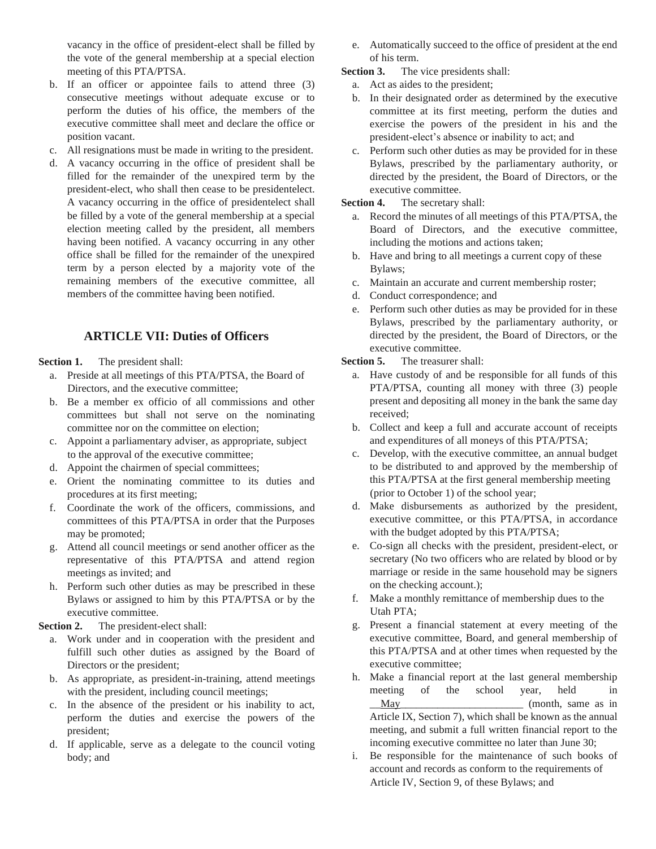vacancy in the office of president-elect shall be filled by the vote of the general membership at a special election meeting of this PTA/PTSA.

- b. If an officer or appointee fails to attend three (3) consecutive meetings without adequate excuse or to perform the duties of his office, the members of the executive committee shall meet and declare the office or position vacant.
- c. All resignations must be made in writing to the president.
- d. A vacancy occurring in the office of president shall be filled for the remainder of the unexpired term by the president-elect, who shall then cease to be presidentelect. A vacancy occurring in the office of presidentelect shall be filled by a vote of the general membership at a special election meeting called by the president, all members having been notified. A vacancy occurring in any other office shall be filled for the remainder of the unexpired term by a person elected by a majority vote of the remaining members of the executive committee, all members of the committee having been notified.

## **ARTICLE VII: Duties of Officers**

**Section 1.** The president shall:

- a. Preside at all meetings of this PTA/PTSA, the Board of Directors, and the executive committee;
- b. Be a member ex officio of all commissions and other committees but shall not serve on the nominating committee nor on the committee on election;
- c. Appoint a parliamentary adviser, as appropriate, subject to the approval of the executive committee;
- d. Appoint the chairmen of special committees;
- e. Orient the nominating committee to its duties and procedures at its first meeting;
- f. Coordinate the work of the officers, commissions, and committees of this PTA/PTSA in order that the Purposes may be promoted;
- g. Attend all council meetings or send another officer as the representative of this PTA/PTSA and attend region meetings as invited; and
- h. Perform such other duties as may be prescribed in these Bylaws or assigned to him by this PTA/PTSA or by the executive committee.

**Section 2.** The president-elect shall:

- a. Work under and in cooperation with the president and fulfill such other duties as assigned by the Board of Directors or the president;
- b. As appropriate, as president-in-training, attend meetings with the president, including council meetings;
- c. In the absence of the president or his inability to act, perform the duties and exercise the powers of the president;
- d. If applicable, serve as a delegate to the council voting body; and

e. Automatically succeed to the office of president at the end of his term.

**Section 3.** The vice presidents shall:

- a. Act as aides to the president;
- b. In their designated order as determined by the executive committee at its first meeting, perform the duties and exercise the powers of the president in his and the president-elect's absence or inability to act; and
- c. Perform such other duties as may be provided for in these Bylaws, prescribed by the parliamentary authority, or directed by the president, the Board of Directors, or the executive committee.

**Section 4.** The secretary shall:

- a. Record the minutes of all meetings of this PTA/PTSA, the Board of Directors, and the executive committee, including the motions and actions taken;
- b. Have and bring to all meetings a current copy of these Bylaws;
- c. Maintain an accurate and current membership roster;
- d. Conduct correspondence; and
- e. Perform such other duties as may be provided for in these Bylaws, prescribed by the parliamentary authority, or directed by the president, the Board of Directors, or the executive committee.

**Section 5.** The treasurer shall:

- a. Have custody of and be responsible for all funds of this PTA/PTSA, counting all money with three (3) people present and depositing all money in the bank the same day received;
- b. Collect and keep a full and accurate account of receipts and expenditures of all moneys of this PTA/PTSA;
- c. Develop, with the executive committee, an annual budget to be distributed to and approved by the membership of this PTA/PTSA at the first general membership meeting (prior to October 1) of the school year;
- d. Make disbursements as authorized by the president, executive committee, or this PTA/PTSA, in accordance with the budget adopted by this PTA/PTSA;
- e. Co-sign all checks with the president, president-elect, or secretary (No two officers who are related by blood or by marriage or reside in the same household may be signers on the checking account.);
- f. Make a monthly remittance of membership dues to the Utah PTA;
- g. Present a financial statement at every meeting of the executive committee, Board, and general membership of this PTA/PTSA and at other times when requested by the executive committee;
- h. Make a financial report at the last general membership meeting of the school year, held in May (month, same as in Article IX, Section 7), which shall be known as the annual meeting, and submit a full written financial report to the incoming executive committee no later than June 30;
- i. Be responsible for the maintenance of such books of account and records as conform to the requirements of Article IV, Section 9, of these Bylaws; and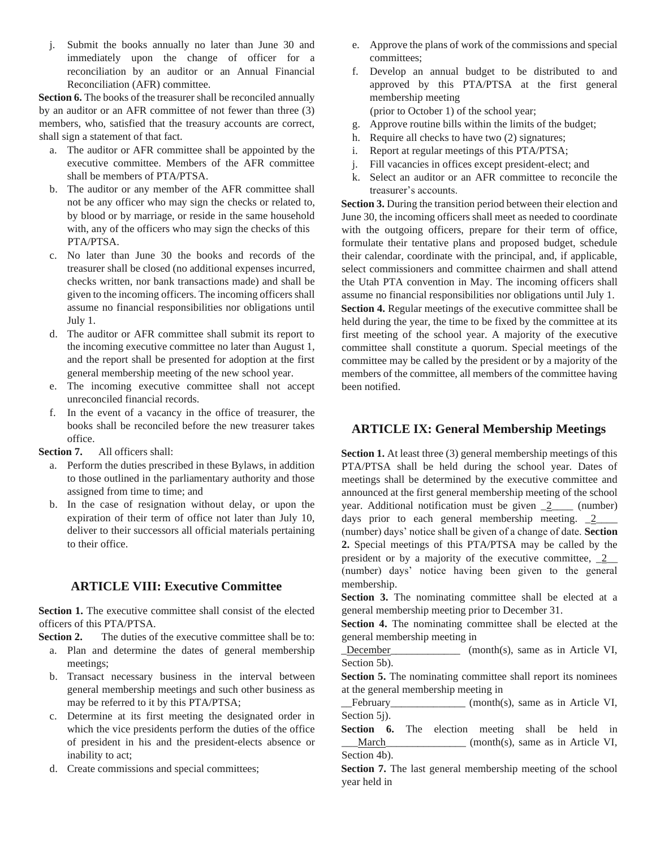j. Submit the books annually no later than June 30 and immediately upon the change of officer for a reconciliation by an auditor or an Annual Financial Reconciliation (AFR) committee.

**Section 6.** The books of the treasurer shall be reconciled annually by an auditor or an AFR committee of not fewer than three (3) members, who, satisfied that the treasury accounts are correct, shall sign a statement of that fact.

- a. The auditor or AFR committee shall be appointed by the executive committee. Members of the AFR committee shall be members of PTA/PTSA.
- b. The auditor or any member of the AFR committee shall not be any officer who may sign the checks or related to, by blood or by marriage, or reside in the same household with, any of the officers who may sign the checks of this PTA/PTSA.
- c. No later than June 30 the books and records of the treasurer shall be closed (no additional expenses incurred, checks written, nor bank transactions made) and shall be given to the incoming officers. The incoming officers shall assume no financial responsibilities nor obligations until July 1.
- d. The auditor or AFR committee shall submit its report to the incoming executive committee no later than August 1, and the report shall be presented for adoption at the first general membership meeting of the new school year.
- e. The incoming executive committee shall not accept unreconciled financial records.
- f. In the event of a vacancy in the office of treasurer, the books shall be reconciled before the new treasurer takes office.

**Section 7.** All officers shall:

- a. Perform the duties prescribed in these Bylaws, in addition to those outlined in the parliamentary authority and those assigned from time to time; and
- b. In the case of resignation without delay, or upon the expiration of their term of office not later than July 10, deliver to their successors all official materials pertaining to their office.

## **ARTICLE VIII: Executive Committee**

**Section 1.** The executive committee shall consist of the elected officers of this PTA/PTSA.

**Section 2.** The duties of the executive committee shall be to:

- a. Plan and determine the dates of general membership meetings;
- b. Transact necessary business in the interval between general membership meetings and such other business as may be referred to it by this PTA/PTSA;
- c. Determine at its first meeting the designated order in which the vice presidents perform the duties of the office of president in his and the president-elects absence or inability to act;
- d. Create commissions and special committees;
- e. Approve the plans of work of the commissions and special committees;
- f. Develop an annual budget to be distributed to and approved by this PTA/PTSA at the first general membership meeting (prior to October 1) of the school year;

g. Approve routine bills within the limits of the budget;

- h. Require all checks to have two (2) signatures;
- i. Report at regular meetings of this PTA/PTSA;
- j. Fill vacancies in offices except president-elect; and
- k. Select an auditor or an AFR committee to reconcile the treasurer's accounts.

**Section 3.** During the transition period between their election and June 30, the incoming officers shall meet as needed to coordinate with the outgoing officers, prepare for their term of office, formulate their tentative plans and proposed budget, schedule their calendar, coordinate with the principal, and, if applicable, select commissioners and committee chairmen and shall attend the Utah PTA convention in May. The incoming officers shall assume no financial responsibilities nor obligations until July 1. **Section 4.** Regular meetings of the executive committee shall be held during the year, the time to be fixed by the committee at its first meeting of the school year. A majority of the executive committee shall constitute a quorum. Special meetings of the committee may be called by the president or by a majority of the members of the committee, all members of the committee having been notified.

#### **ARTICLE IX: General Membership Meetings**

**Section 1.** At least three (3) general membership meetings of this PTA/PTSA shall be held during the school year. Dates of meetings shall be determined by the executive committee and announced at the first general membership meeting of the school year. Additional notification must be given  $\frac{2}{2}$  (number) days prior to each general membership meeting.  $2$ (number) days' notice shall be given of a change of date. **Section 2.** Special meetings of this PTA/PTSA may be called by the president or by a majority of the executive committee,  $2$ (number) days' notice having been given to the general membership.

**Section 3.** The nominating committee shall be elected at a general membership meeting prior to December 31.

**Section 4.** The nominating committee shall be elected at the general membership meeting in

December (month(s), same as in Article VI, Section 5b).

**Section 5.** The nominating committee shall report its nominees at the general membership meeting in

\_\_February\_\_\_\_\_\_\_\_\_\_\_\_\_\_ (month(s), same as in Article VI, Section 5j).

**Section 6.** The election meeting shall be held in March\_\_\_\_\_\_\_\_\_\_\_\_\_\_\_\_ (month(s), same as in Article VI, Section 4b).

**Section 7.** The last general membership meeting of the school year held in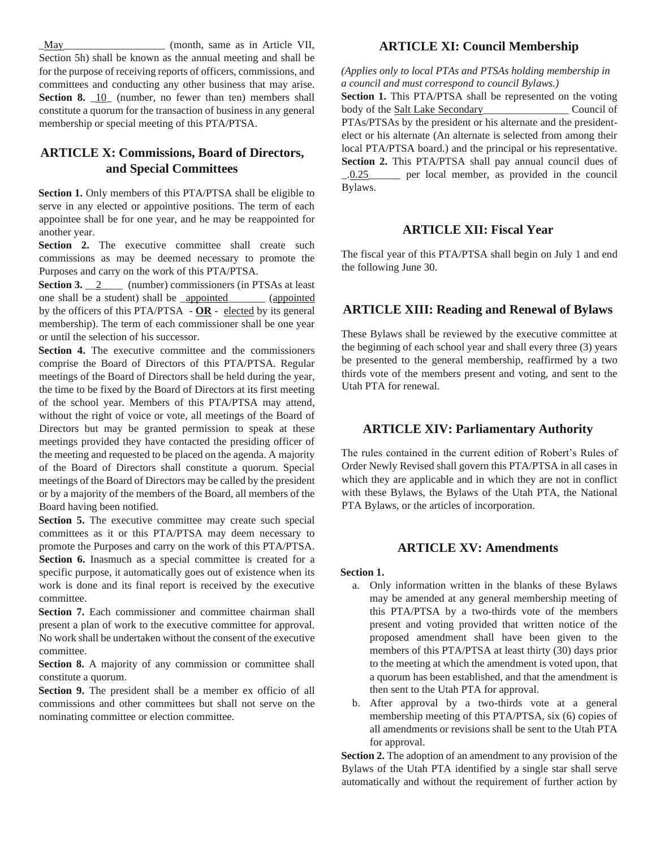\_May\_\_\_\_\_\_\_\_\_\_\_\_\_\_\_\_\_\_\_ (month, same as in Article VII, Section 5h) shall be known as the annual meeting and shall be for the purpose of receiving reports of officers, commissions, and committees and conducting any other business that may arise. **Section 8.** 10 (number, no fewer than ten) members shall constitute a quorum for the transaction of business in any general membership or special meeting of this PTA/PTSA.

# **ARTICLE X: Commissions, Board of Directors, and Special Committees**

**Section 1.** Only members of this PTA/PTSA shall be eligible to serve in any elected or appointive positions. The term of each appointee shall be for one year, and he may be reappointed for another year.

Section 2. The executive committee shall create such commissions as may be deemed necessary to promote the Purposes and carry on the work of this PTA/PTSA.

**Section 3.** \_\_2\_\_\_\_ (number) commissioners (in PTSAs at least one shall be a student) shall be appointed (appointed by the officers of this PTA/PTSA - **OR** - elected by its general membership). The term of each commissioner shall be one year or until the selection of his successor.

Section 4. The executive committee and the commissioners comprise the Board of Directors of this PTA/PTSA. Regular meetings of the Board of Directors shall be held during the year, the time to be fixed by the Board of Directors at its first meeting of the school year. Members of this PTA/PTSA may attend, without the right of voice or vote, all meetings of the Board of Directors but may be granted permission to speak at these meetings provided they have contacted the presiding officer of the meeting and requested to be placed on the agenda. A majority of the Board of Directors shall constitute a quorum. Special meetings of the Board of Directors may be called by the president or by a majority of the members of the Board, all members of the Board having been notified.

**Section 5.** The executive committee may create such special committees as it or this PTA/PTSA may deem necessary to promote the Purposes and carry on the work of this PTA/PTSA. Section 6. Inasmuch as a special committee is created for a specific purpose, it automatically goes out of existence when its work is done and its final report is received by the executive committee.

**Section 7.** Each commissioner and committee chairman shall present a plan of work to the executive committee for approval. No work shall be undertaken without the consent of the executive committee.

**Section 8.** A majority of any commission or committee shall constitute a quorum.

**Section 9.** The president shall be a member ex officio of all commissions and other committees but shall not serve on the nominating committee or election committee.

#### **ARTICLE XI: Council Membership**

*(Applies only to local PTAs and PTSAs holding membership in a council and must correspond to council Bylaws.)*

**Section 1.** This PTA/PTSA shall be represented on the voting body of the Salt Lake Secondary\_\_\_\_\_\_\_\_\_\_\_\_\_\_\_\_\_\_\_\_\_ Council of PTAs/PTSAs by the president or his alternate and the presidentelect or his alternate (An alternate is selected from among their local PTA/PTSA board.) and the principal or his representative. **Section 2.** This PTA/PTSA shall pay annual council dues of \_.0.25\_\_\_\_\_\_ per local member, as provided in the council Bylaws.

#### **ARTICLE XII: Fiscal Year**

The fiscal year of this PTA/PTSA shall begin on July 1 and end the following June 30.

#### **ARTICLE XIII: Reading and Renewal of Bylaws**

These Bylaws shall be reviewed by the executive committee at the beginning of each school year and shall every three (3) years be presented to the general membership, reaffirmed by a two thirds vote of the members present and voting, and sent to the Utah PTA for renewal.

#### **ARTICLE XIV: Parliamentary Authority**

The rules contained in the current edition of Robert's Rules of Order Newly Revised shall govern this PTA/PTSA in all cases in which they are applicable and in which they are not in conflict with these Bylaws, the Bylaws of the Utah PTA, the National PTA Bylaws, or the articles of incorporation.

#### **ARTICLE XV: Amendments**

#### **Section 1.**

- a. Only information written in the blanks of these Bylaws may be amended at any general membership meeting of this PTA/PTSA by a two-thirds vote of the members present and voting provided that written notice of the proposed amendment shall have been given to the members of this PTA/PTSA at least thirty (30) days prior to the meeting at which the amendment is voted upon, that a quorum has been established, and that the amendment is then sent to the Utah PTA for approval.
- b. After approval by a two-thirds vote at a general membership meeting of this PTA/PTSA, six (6) copies of all amendments or revisions shall be sent to the Utah PTA for approval.

**Section 2.** The adoption of an amendment to any provision of the Bylaws of the Utah PTA identified by a single star shall serve automatically and without the requirement of further action by